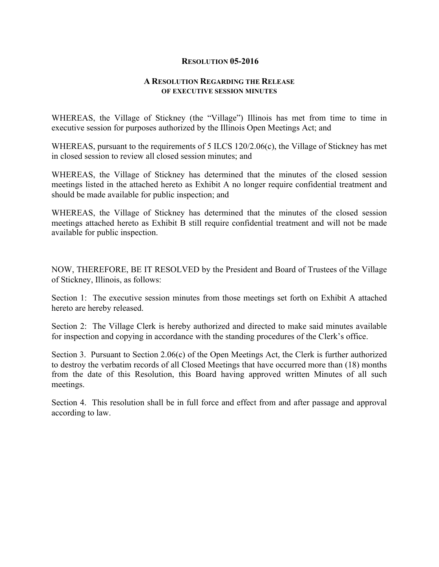## **RESOLUTION 05-2016**

## **A RESOLUTION REGARDING THE RELEASE OF EXECUTIVE SESSION MINUTES**

WHEREAS, the Village of Stickney (the "Village") Illinois has met from time to time in executive session for purposes authorized by the Illinois Open Meetings Act; and

WHEREAS, pursuant to the requirements of 5 ILCS 120/2.06(c), the Village of Stickney has met in closed session to review all closed session minutes; and

WHEREAS, the Village of Stickney has determined that the minutes of the closed session meetings listed in the attached hereto as Exhibit A no longer require confidential treatment and should be made available for public inspection; and

WHEREAS, the Village of Stickney has determined that the minutes of the closed session meetings attached hereto as Exhibit B still require confidential treatment and will not be made available for public inspection.

NOW, THEREFORE, BE IT RESOLVED by the President and Board of Trustees of the Village of Stickney, Illinois, as follows:

Section 1: The executive session minutes from those meetings set forth on Exhibit A attached hereto are hereby released.

Section 2: The Village Clerk is hereby authorized and directed to make said minutes available for inspection and copying in accordance with the standing procedures of the Clerk's office.

Section 3. Pursuant to Section 2.06(c) of the Open Meetings Act, the Clerk is further authorized to destroy the verbatim records of all Closed Meetings that have occurred more than (18) months from the date of this Resolution, this Board having approved written Minutes of all such meetings.

Section 4. This resolution shall be in full force and effect from and after passage and approval according to law.